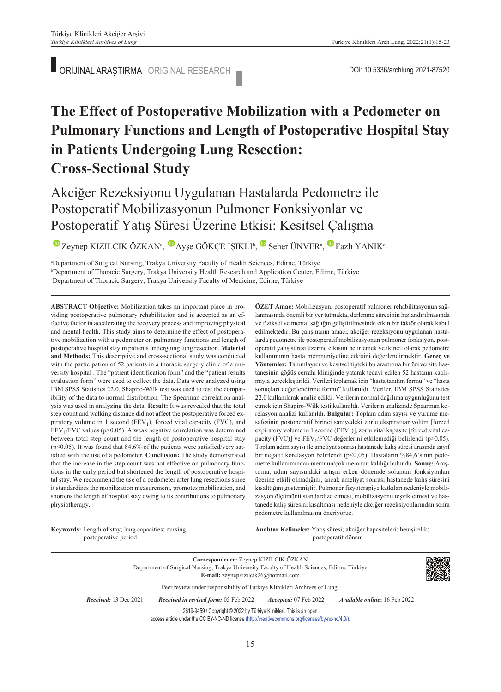# **The Effect of Postoperative Mobilization with a Pedometer on Pulmonary Functions and Length of Postoperative Hospital Stay in Patients Undergoing Lung Resection: Cross-Sectional Study**

# Akciğer Rezeksiyonu Uygulanan Hastalarda Pedometre ile Postoperatif Mobilizasyonun Pulmoner Fonksiyonlar ve Postoperatif Yatış Süresi Üzerine Etkisi: Kesitsel Çalışma

 $\bullet$ Zeynep KIZILCIK ÖZKAN<sup>a</sup>,  $\bullet$  Ayşe GÖKÇE IŞIKLI<sup>b</sup>,  $\bullet$  Seher ÜNVER<sup>a</sup>,  $\bullet$  Fazlı YANIK<sup>c</sup>

a Department of Surgical Nursing, Trakya University Faculty of Health Sciences, Edirne, Türkiye b Department of Thoracic Surgery, Trakya University Health Research and Application Center, Edirne, Türkiye c Department of Thoracic Surgery, Trakya University Faculty of Medicine, Edirne, Türkiye

**ABS TRACT Objective:** Mobilization takes an important place in providing postoperative pulmonary rehabilitation and is accepted as an effective factor in accelerating the recovery process and improving physical and mental health. This study aims to determine the effect of postoperative mobilization with a pedometer on pulmonary functions and length of postoperative hospital stay in patients undergoing lung resection. **Material and Methods:** This descriptive and cross-sectional study was conducted with the participation of 52 patients in a thoracic surgery clinic of a university hospital . The "patient identification form" and the "patient results evaluation form" were used to collect the data. Data were analyzed using IBM SPSS Statistics 22.0. Shapiro-Wilk test was used to test the compatibility of the data to normal distribution. The Spearman correlation analysis was used in analyzing the data. **Result:** It was revealed that the total step count and walking distance did not affect the postoperative forced expiratory volume in 1 second (FEV<sub>1</sub>), forced vital capacity (FVC), and  $FEV<sub>1</sub>/FVC$  values (p>0.05). A weak negative correlation was determined between total step count and the length of postoperative hospital stay ( $p$ <0.05). It was found that 84.6% of the patients were satisfied/very satisfied with the use of a pedometer. **Conclusion:** The study demonstrated that the increase in the step count was not effective on pulmonary functions in the early period but shortened the length of postoperative hospital stay. We recommend the use of a pedometer after lung resections since it standardizes the mobilization measurement, promotes mobilization, and shortens the length of hospital stay owing to its contributions to pulmonary physiotherapy.

**ÖZET Amaç:** Mobilizasyon; postoperatif pulmoner rehabilitasyonun sağlanmasında önemli bir yer tutmakta, derlenme sürecinin hızlandırılmasında ve fiziksel ve mental sağlığın geliştirilmesinde etkin bir faktör olarak kabul edilmektedir. Bu çalışmanın amacı, akciğer rezeksiyonu uygulanan hastalarda pedometre ile postoperatif mobilizasyonun pulmoner fonksiyon, postoperatif yatış süresi üzerine etkisini belirlemek ve ikincil olarak pedometre kullanımının hasta memnuniyetine etkisini değerlendirmektir. **Gereç ve Yöntemler:** Tanımlayıcı ve kesitsel tipteki bu araştırma bir üniversite hastanesinin göğüs cerrahi kliniğinde yatarak tedavi edilen 52 hastanın katılımıyla gerçekleştirildi. Verileri toplamak için "hasta tanıtım formu" ve "hasta sonuçları değerlendirme formu" kullanıldı. Veriler, IBM SPSS Statistics 22.0 kullanılarak analiz edildi. Verilerin normal dağılıma uygunluğunu test etmek için Shapiro-Wilk testi kullanıldı. Verilerin analizinde Spearman korelasyon analizi kullanıldı. **Bulgular:** Toplam adım sayısı ve yürüme mesafesinin postoperatif birinci saniyedeki zorlu ekspiratuar volüm [forced expiratory volume in 1 second ( $FEV<sub>1</sub>$ )], zorlu vital kapasite [forced vital capacity (FVC)] ve ${\rm FEV_1/FVC}$ değerlerini etkilemediği belirlendi (p>0,05). Toplam adım sayısı ile ameliyat sonrası hastanede kalış süresi arasında zayıf bir negatif korelasyon belirlendi (p<0,05). Hastaların %84,6'sının pedometre kullanımından memnun/çok memnun kaldığı bulundu. **Sonuç:** Araştırma, adım sayısındaki artışın erken dönemde solunum fonksiyonları üzerine etkili olmadığını, ancak ameliyat sonrası hastanede kalış süresini kısalttığını göstermiştir. Pulmoner fizyoterapiye katkıları nedeniyle mobilizasyon ölçümünü standardize etmesi, mobilizasyonu teşvik etmesi ve hastanede kalış süresini kısaltması nedeniyle akciğer rezeksiyonlarından sonra pedometre kullanılmasını öneriyoruz.

**Keywords:** Length of stay; lung capacities; nursing; postoperative period

Anahtar Kelimeler: Yatış süresi; akciğer kapasiteleri; hemşirelik; postoperatif dönem

**Correspondence:** Zeynep KIZILCIK ÖZKAN Department of Surgical Nursing, Trakya University Faculty of Health Sciences, Edirne, Türkiye **E-mail:** zeynepkizilcik26@hotmail.com Peer review under responsibility of Turkiye Klinikleri Archives of Lung. *Re ce i ved:* 13 Dec 2021 *Received in revised form:* 05 Feb 2022 *Ac cep ted:* 07 Feb 2022 *Available online***:** 16 Feb 2022 2619-9459 / Copyright © 2022 by Türkiye Klinikleri. This is an open access article under the CC BY-NC-ND license [\(http://creativecommons.org/licenses/by-nc-nd/4.0/\)](https://creativecommons.org/licenses/by-nc-nd/4.0/).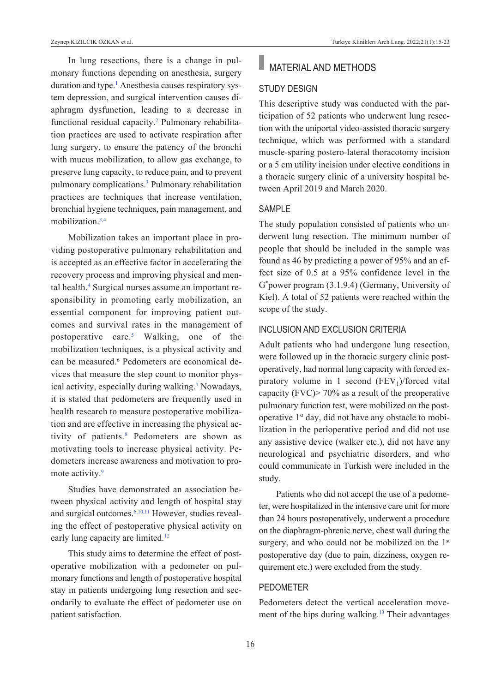In lung resections, there is a change in pulmonary functions depending on anesthesia, surgery duration and type.<sup>1</sup> Anesthesia causes respiratory system depression, and surgical intervention causes diaphragm dysfunction, leading to a decrease in functional residual capacity.<sup>2</sup> Pulmonary rehabilitation practices are used to activate respiration after lung surgery, to ensure the patency of the bronchi with mucus mobilization, to allow gas exchange, to preserve lung capacity, to reduce pain, and to prevent pulmonary complications[.3](#page-7-0) Pulmonary rehabilitation practices are techniques that increase ventilation, bronchial hygiene techniques, pain management, and mobilization[.3,4](#page-7-0) 

Mobilization takes an important place in providing postoperative pulmonary rehabilitation and is accepted as an effective factor in accelerating the recovery process and improving physical and mental health.<sup>4</sup> Surgical nurses assume an important responsibility in promoting early mobilization, an essential component for improving patient outcomes and survival rates in the management of postoperative care[.5](#page-7-0) Walking, one of the mobilization techniques, is a physical activity and can be measured.<sup>6</sup> Pedometers are economical devices that measure the step count to monitor physical activity, especially during walking.<sup>7</sup> Nowadays, it is stated that pedometers are frequently used in health research to measure postoperative mobilization and are effective in increasing the physical activity of patients[.8](#page-7-0) Pedometers are shown as motivating tools to increase physical activity. Pedometers increase awareness and motivation to promote activity.<sup>9</sup>

Studies have demonstrated an association between physical activity and length of hospital stay and surgical outcomes.<sup>6,10,11</sup> However, studies revealing the effect of postoperative physical activity on early lung capacity are limited.<sup>12</sup>

This study aims to determine the effect of postoperative mobilization with a pedometer on pulmonary functions and length of postoperative hospital stay in patients undergoing lung resection and secondarily to evaluate the effect of pedometer use on patient satisfaction.

# **MATERIAL AND METHODS**

## STuDY DESIGN

This descriptive study was conducted with the participation of 52 patients who underwent lung resection with the uniportal video-assisted thoracic surgery technique, which was performed with a standard muscle-sparing postero-lateral thoracotomy incision or a 5 cm utility incision under elective conditions in a thoracic surgery clinic of a university hospital between April 2019 and March 2020.

#### SAMPI<sub>F</sub>

The study population consisted of patients who underwent lung resection. The minimum number of people that should be included in the sample was found as 46 by predicting a power of 95% and an effect size of 0.5 at a 95% confidence level in the G\* power program (3.1.9.4) (Germany, University of Kiel). A total of 52 patients were reached within the scope of the study.

## INCLuSION AND ExCLuSION CRITERIA

Adult patients who had undergone lung resection, were followed up in the thoracic surgery clinic postoperatively, had normal lung capacity with forced expiratory volume in 1 second  $(FEV_1)/$  forced vital capacity (FVC)> 70% as a result of the preoperative pulmonary function test, were mobilized on the postoperative 1<sup>st</sup> day, did not have any obstacle to mobilization in the perioperative period and did not use any assistive device (walker etc.), did not have any neurological and psychiatric disorders, and who could communicate in Turkish were included in the study.

Patients who did not accept the use of a pedometer, were hospitalized in the intensive care unit for more than 24 hours postoperatively, underwent a procedure on the diaphragm-phrenic nerve, chest wall during the surgery, and who could not be mobilized on the  $1<sup>st</sup>$ postoperative day (due to pain, dizziness, oxygen requirement etc.) were excluded from the study.

# pEDOMETER

Pedometers detect the vertical acceleration movement of the hips during walking[.13](#page-7-0) Their advantages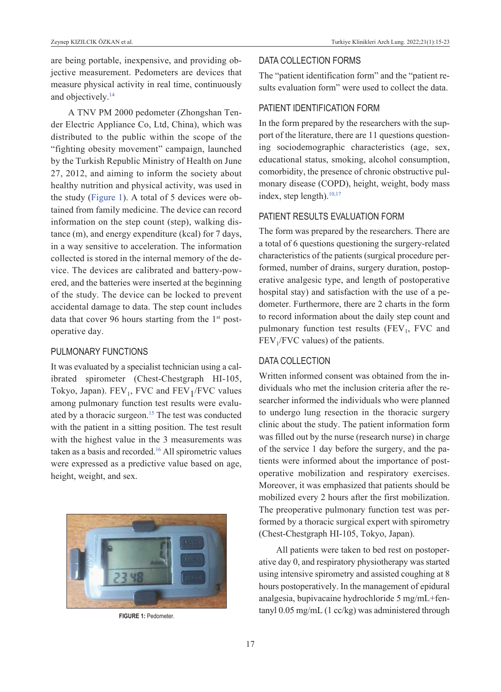are being portable, inexpensive, and providing objective measurement. Pedometers are devices that measure physical activity in real time, continuously and objectively.<sup>14</sup>

A TNV PM 2000 pedometer (Zhongshan Tender Electric Appliance Co, Ltd, China), which was distributed to the public within the scope of the "fighting obesity movement" campaign, launched by the Turkish Republic Ministry of Health on June 27, 2012, and aiming to inform the society about healthy nutrition and physical activity, was used in the study [\(Figure 1\)](#page-2-0). A total of 5 devices were obtained from family medicine. The device can record information on the step count (step), walking distance (m), and energy expenditure (kcal) for 7 days, in a way sensitive to acceleration. The information collected is stored in the internal memory of the device. The devices are calibrated and battery-powered, and the batteries were inserted at the beginning of the study. The device can be locked to prevent accidental damage to data. The step count includes data that cover 96 hours starting from the  $1<sup>st</sup>$  postoperative day.

### puLMONARY fuNCTIONS

It was evaluated by a specialist technician using a calibrated spirometer (Chest-Chestgraph HI-105, Tokyo, Japan).  $FEV_1$ , FVC and  $FEV_1/FVC$  values among pulmonary function test results were evaluated by a thoracic surgeon.<sup>15</sup> The test was conducted with the patient in a sitting position. The test result with the highest value in the 3 measurements was taken as a basis and recorded.<sup>16</sup> All spirometric values were expressed as a predictive value based on age, height, weight, and sex.



## DATA COLLECTION fORMS

The "patient identification form" and the "patient results evaluation form" were used to collect the data.

# pATIENT IDENTIfICATION fORM

In the form prepared by the researchers with the support of the literature, there are 11 questions questioning sociodemographic characteristics (age, sex, educational status, smoking, alcohol consumption, comorbidity, the presence of chronic obstructive pulmonary disease (COPD), height, weight, body mass index, step length). $10,17$ 

# pATIENT RESuLTS EvALuATION fORM

The form was prepared by the researchers. There are a total of 6 questions questioning the surgery-related characteristics of the patients (surgical procedure performed, number of drains, surgery duration, postoperative analgesic type, and length of postoperative hospital stay) and satisfaction with the use of a pedometer. Furthermore, there are 2 charts in the form to record information about the daily step count and pulmonary function test results  $(FEV<sub>1</sub>, FVC$  and  $FEV<sub>1</sub>/FVC$  values) of the patients.

## DATA COLLECTION

<span id="page-2-0"></span>Written informed consent was obtained from the individuals who met the inclusion criteria after the researcher informed the individuals who were planned to undergo lung resection in the thoracic surgery clinic about the study. The patient information form was filled out by the nurse (research nurse) in charge of the service 1 day before the surgery, and the patients were informed about the importance of postoperative mobilization and respiratory exercises. Moreover, it was emphasized that patients should be mobilized every 2 hours after the first mobilization. The preoperative pulmonary function test was performed by a thoracic surgical expert with spirometry (Chest-Chestgraph HI-105, Tokyo, Japan).

All patients were taken to bed rest on postoperative day 0, and respiratory physiotherapy was started using intensive spirometry and assisted coughing at 8 hours postoperatively. In the management of epidural analgesia, bupivacaine hydrochloride 5 mg/mL+fen-**FIGURE 1:** Pedometer. **Example 1:** Pedometer. **FIGURE 1:** Pedometer.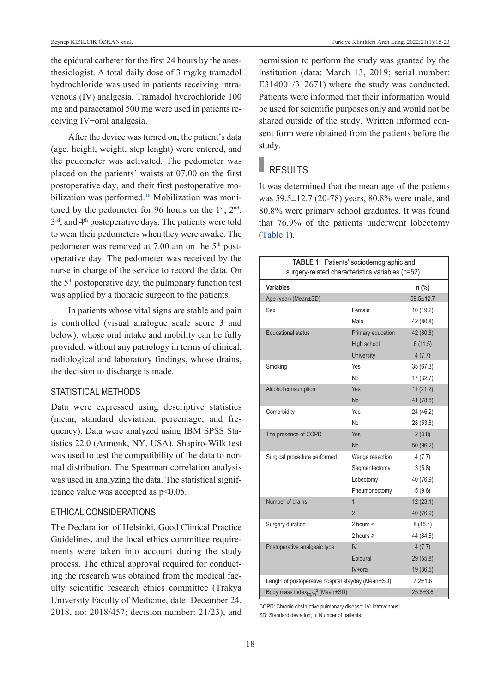the epidural catheter for the first 24 hours by the anesthesiologist. A total daily dose of 3 mg/kg tramadol hydrochloride was used in patients receiving intravenous (IV) analgesia. Tramadol hydrochloride 100 mg and paracetamol 500 mg were used in patients receiving IV+oral analgesia.

After the device was turned on, the patient's data (age, height, weight, step lenght) were entered, and the pedometer was activated. The pedometer was placed on the patients' waists at 07.00 on the first postoperative day, and their first postoperative mobilization was performed[.18](#page-7-0) Mobilization was monitored by the pedometer for 96 hours on the  $1<sup>st</sup>$ ,  $2<sup>nd</sup>$ ,  $3<sup>rd</sup>$ , and  $4<sup>th</sup>$  postoperative days. The patients were told to wear their pedometers when they were awake. The pedometer was removed at 7.00 am on the 5<sup>th</sup> postoperative day. The pedometer was received by the nurse in charge of the service to record the data. On the 5th postoperative day, the pulmonary function test was applied by a thoracic surgeon to the patients.

In patients whose vital signs are stable and pain is controlled (visual analogue scale score 3 and below), whose oral intake and mobility can be fully provided, without any pathology in terms of clinical, radiological and laboratory findings, whose drains, the decision to discharge is made.

#### STATISTICAL METHODS

Data were expressed using descriptive statistics (mean, standard deviation, percentage, and frequency). Data were analyzed using IBM SPSS Statistics 22.0 (Armonk, NY, USA). Shapiro-Wilk test was used to test the compatibility of the data to normal distribution. The Spearman correlation analysis was used in analyzing the data. The statistical significance value was accepted as p<0.05.

# ETHICAL CONSIDERATIONS

The Declaration of Helsinki, Good Clinical Practice Guidelines, and the local ethics committee requirements were taken into account during the study process. The ethical approval required for conducting the research was obtained from the medical faculty scientific research ethics committee (Trakya University Faculty of Medicine, date: December 24, 2018, no: 2018/457; decision number: 21/23), and permission to perform the study was granted by the institution (data: March 13, 2019; serial number: E314001/312671) where the study was conducted. Patients were informed that their information would be used for scientific purposes only and would not be shared outside of the study. Written informed consent form were obtained from the patients before the study.

# RESULTS

It was determined that the mean age of the patients was 59.5±12.7 (20-78) years, 80.8% were male, and 80.8% were primary school graduates. It was found that 76.9% of the patients underwent lobectomy [\(Table 1\)](#page-3-0).

<span id="page-3-0"></span>

| TABLE 1: Patients' sociodemographic and<br>surgery-related characteristics variables (n=52). |                   |                 |  |
|----------------------------------------------------------------------------------------------|-------------------|-----------------|--|
| Variables                                                                                    |                   | $n$ (%)         |  |
| Age (year) (Mean±SD)                                                                         |                   | $59.5 \pm 12.7$ |  |
| Sex                                                                                          | Female            | 10 (19.2)       |  |
|                                                                                              | Male              | 42 (80.8)       |  |
| <b>Educational status</b>                                                                    | Primary education | 42 (80.8)       |  |
|                                                                                              | High school       | 6(11.5)         |  |
|                                                                                              | <b>University</b> | 4(7.7)          |  |
| Smoking                                                                                      | Yes               | 35(67.3)        |  |
|                                                                                              | No                | 17(32.7)        |  |
| Alcohol consumption                                                                          | Yes               | 11(21.2)        |  |
|                                                                                              | <b>No</b>         | 41 (78.8)       |  |
| Comorbidity                                                                                  | Yes               | 24 (46.2)       |  |
|                                                                                              | No                | 28 (53.8)       |  |
| The presence of COPD                                                                         | <b>Yes</b>        | 2(3.8)          |  |
|                                                                                              | <b>No</b>         | 50 (96.2)       |  |
| Surgical procedure performed                                                                 | Wedge resection   | 4(7.7)          |  |
|                                                                                              | Segmentectomy     | 3(5.8)          |  |
|                                                                                              | Lobectomy         | 40 (76.9)       |  |
|                                                                                              | Pneumonectomy     | 5(9.6)          |  |
| Number of drains                                                                             | $\overline{1}$    | 12(23.1)        |  |
|                                                                                              | $\overline{2}$    | 40 (76.9)       |  |
| Surgery duration                                                                             | 2 hours $\leq$    | 8(15.4)         |  |
|                                                                                              | 2 hours $\geq$    | 44 (84.6)       |  |
| Postoperative analgesic type                                                                 | IV                | 4(7.7)          |  |
|                                                                                              | Epidural          | 29 (55.8)       |  |
|                                                                                              | $IV + oral$       | 19 (36.5)       |  |
| Length of postoperative hospital stayday (Mean±SD)                                           |                   | $7.2 + 1.6$     |  |
| Body mass index <sub>ka/m</sub> <sup>2</sup> (Mean±SD)                                       | $25.6 \pm 3.6$    |                 |  |

COPD: Chronic obstructive pulmonary disease; IV: Intravenous; SD: Standard deviation; n: Number of patients.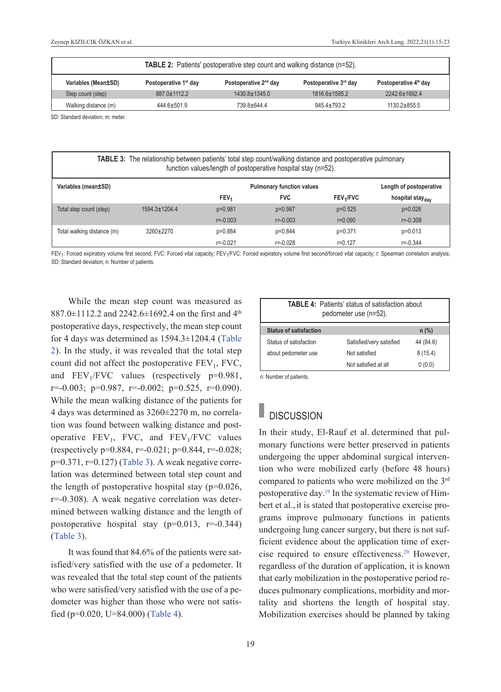| <b>TABLE 2:</b> Patients' postoperative step count and walking distance (n=52). |                                   |                                   |                       |                       |  |
|---------------------------------------------------------------------------------|-----------------------------------|-----------------------------------|-----------------------|-----------------------|--|
| Variables (Mean±SD)                                                             | Postoperative 1 <sup>st</sup> day | Postoperative 2 <sup>nd</sup> day | Postoperative 3rd day | Postoperative 4th day |  |
| Step count (step)                                                               | $887.0 \pm 1112.2$                | $1430.8 \pm 1345.0$               | 1816.6±1595.2         | 2242.6±1692.4         |  |
| Walking distance (m)                                                            | $444.6 \pm 501.9$                 | 739.8±644.4                       | $945.4 \pm 793.2$     | $1130.2 \pm 855.5$    |  |

SD: Standard deviation: m: meter

| <b>TABLE 3:</b> The relationship between patients' total step count/walking distance and postoperative pulmonary<br>function values/length of postoperative hospital stay (n=52). |                     |                                                             |              |                            |                              |
|-----------------------------------------------------------------------------------------------------------------------------------------------------------------------------------|---------------------|-------------------------------------------------------------|--------------|----------------------------|------------------------------|
| Variables (mean±SD)                                                                                                                                                               |                     | <b>Pulmonary function values</b><br>Length of postoperative |              |                            |                              |
|                                                                                                                                                                                   |                     | FEV <sub>1</sub>                                            | <b>FVC</b>   | <b>FEV<sub>1</sub>/FVC</b> | hospital stay <sub>dav</sub> |
| Total step count (step)                                                                                                                                                           | $1594.3 \pm 1204.4$ | $p=0.981$                                                   | p=0.987      | $p=0.525$                  | $p=0.026$                    |
|                                                                                                                                                                                   |                     | $r = -0.003$                                                | $r = -0.003$ | $r = 0.090$                | $r = -0.308$                 |
| Total walking distance (m)                                                                                                                                                        | $3260+2270$         | p=0.884                                                     | p=0.844      | p=0.371                    | $p=0.013$                    |
|                                                                                                                                                                                   |                     | $r = -0.021$                                                | r=-0.028     | $r = 0.127$                | $r = -0.344$                 |

FEV<sub>1</sub>: Forced expiratory volume first second; FVC: Forced vital capacity; FEV<sub>1</sub>/FVC: Forced expiratory volume first second/forced vital capacity; r: Spearman correlation analysis; SD: Standard deviation; n: Number of patients.

While the mean step count was measured as 887.0 $\pm$ 1112.2 and 2242.6 $\pm$ 1692.4 on the first and 4<sup>th</sup> postoperative days, respectively, the mean step count for 4 days was determined as 1594.3±1204.4 [\(Table](#page-4-0)  [2\)](#page-4-0). In the study, it was revealed that the total step count did not affect the postoperative  $FEV<sub>1</sub>$ , FVC, and  $FEV<sub>1</sub>/FVC$  values (respectively  $p=0.981$ ,  $r=-0.003$ ;  $p=0.987$ ,  $r=-0.002$ ;  $p=0.525$ ,  $r=0.090$ ). While the mean walking distance of the patients for 4 days was determined as 3260±2270 m, no correlation was found between walking distance and postoperative  $FEV_1$ , FVC, and  $FEV_1/FVC$  values (respectively  $p=0.884$ ,  $r=-0.021$ ;  $p=0.844$ ,  $r=-0.028$ ;  $p=0.371$ ,  $r=0.127$ ) [\(Table 3\)](#page-4-1). A weak negative correlation was determined between total step count and the length of postoperative hospital stay  $(p=0.026,$ r=-0.308). A weak negative correlation was determined between walking distance and the length of postoperative hospital stay  $(p=0.013, r=-0.344)$ [\(Table 3\)](#page-4-1).

It was found that 84.6% of the patients were satisfied/very satisfied with the use of a pedometer. It was revealed that the total step count of the patients who were satisfied/very satisfied with the use of a pedometer was higher than those who were not satisfied (p=0.020, U=84.000) [\(Table 4\)](#page-4-2).

<span id="page-4-2"></span><span id="page-4-1"></span><span id="page-4-0"></span>

| <b>TABLE 4: Patients' status of satisfaction about</b><br>pedometer use (n=52). |                          |           |  |  |
|---------------------------------------------------------------------------------|--------------------------|-----------|--|--|
| <b>Status of satisfaction</b>                                                   |                          | $n$ (%)   |  |  |
| Status of satisfaction                                                          | Satisfied/very satisfied | 44 (84.6) |  |  |
| about pedometer use                                                             | Not satisfied            | 8(15.4)   |  |  |
|                                                                                 | Not satisfied at all     | 0(0.0)    |  |  |

n: Number of patients.

# **DISCUSSION**

In their study, El-Rauf et al. determined that pulmonary functions were better preserved in patients undergoing the upper abdominal surgical intervention who were mobilized early (before 48 hours) compared to patients who were mobilized on the 3rd postoperative day[.19](#page-7-0) In the systematic review of Himbert et al., it is stated that postoperative exercise programs improve pulmonary functions in patients undergoing lung cancer surgery, but there is not sufficient evidence about the application time of exercise required to ensure effectiveness[.20](#page-7-0) However, regardless of the duration of application, it is known that early mobilization in the postoperative period reduces pulmonary complications, morbidity and mortality and shortens the length of hospital stay. Mobilization exercises should be planned by taking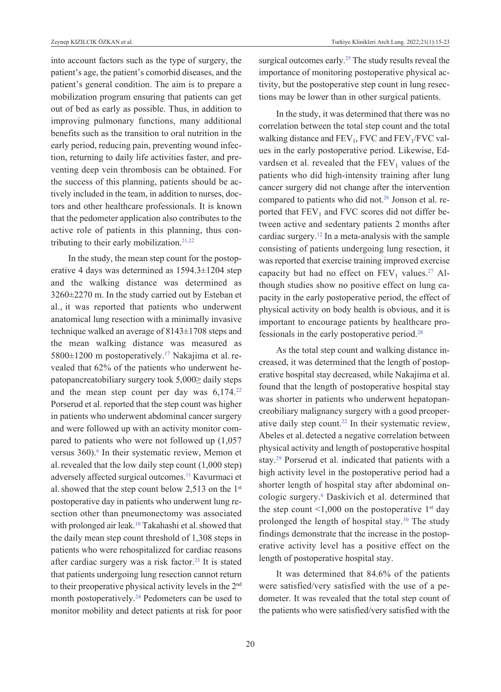into account factors such as the type of surgery, the patient's age, the patient's comorbid diseases, and the patient's general condition. The aim is to prepare a mobilization program ensuring that patients can get out of bed as early as possible. Thus, in addition to improving pulmonary functions, many additional benefits such as the transition to oral nutrition in the early period, reducing pain, preventing wound infection, returning to daily life activities faster, and preventing deep vein thrombosis can be obtained. For the success of this planning, patients should be actively included in the team, in addition to nurses, doctors and other healthcare professionals. It is known that the pedometer application also contributes to the active role of patients in this planning, thus contributing to their early mobilization.<sup>21,22</sup>

In the study, the mean step count for the postoperative 4 days was determined as 1594.3±1204 step and the walking distance was determined as 3260±2270 m. In the study carried out by Esteban et al., it was reported that patients who underwent anatomical lung resection with a minimally invasive technique walked an average of 8143±1708 steps and the mean walking distance was measured as  $5800\pm1200$  m postoperatively.<sup>17</sup> Nakajima et al. revealed that 62% of the patients who underwent hepatopancreatobiliary surgery took 5,000≥ daily steps and the mean step count per day was  $6,174.^{22}$ Porserud et al. reported that the step count was higher in patients who underwent abdominal cancer surgery and were followed up with an activity monitor compared to patients who were not followed up (1,057 versus 360).<sup>6</sup> In their systematic review, Memon et al. revealed that the low daily step count  $(1,000 \text{ step})$ adversely affected surgical outcomes.<sup>11</sup> Kavurmaci et al. showed that the step count below 2,513 on the  $1<sup>st</sup>$ postoperative day in patients who underwent lung resection other than pneumonectomy was associated with prolonged air leak.<sup>10</sup> Takahashi et al. showed that the daily mean step count threshold of 1,308 steps in patients who were rehospitalized for cardiac reasons after cardiac surgery was a risk factor.<sup>23</sup> It is stated that patients undergoing lung resection cannot return to their preoperative physical activity levels in the 2nd month postoperatively[.24](#page-7-0) Pedometers can be used to monitor mobility and detect patients at risk for poor

surgical outcomes early.<sup>25</sup> The study results reveal the importance of monitoring postoperative physical activity, but the postoperative step count in lung resections may be lower than in other surgical patients.

In the study, it was determined that there was no correlation between the total step count and the total walking distance and  $FEV_1$ , FVC and  $FEV_1/FVC$  values in the early postoperative period. Likewise, Edvardsen et al. revealed that the  $FEV<sub>1</sub>$  values of the patients who did high-intensity training after lung cancer surgery did not change after the intervention compared to patients who did not.<sup>26</sup> Jonson et al. reported that  $FEV<sub>1</sub>$  and FVC scores did not differ between active and sedentary patients 2 months after cardiac surgery[.12](#page-7-0) In a meta-analysis with the sample consisting of patients undergoing lung resection, it was reported that exercise training improved exercise capacity but had no effect on  $FEV<sub>1</sub>$  values.<sup>27</sup> Although studies show no positive effect on lung capacity in the early postoperative period, the effect of physical activity on body health is obvious, and it is important to encourage patients by healthcare professionals in the early postoperative period[.28](#page-7-0)

As the total step count and walking distance increased, it was determined that the length of postoperative hospital stay decreased, while Nakajima et al. found that the length of postoperative hospital stay was shorter in patients who underwent hepatopancreobiliary malignancy surgery with a good preoperative daily step count.<sup>22</sup> In their systematic review, Abeles et al. detected a negative correlation between physical activity and length of postoperative hospital stay[.29](#page-7-0) Porserud et al. indicated that patients with a high activity level in the postoperative period had a shorter length of hospital stay after abdominal oncologic surgery[.6](#page-7-0) Daskivich et al. determined that the step count  $\leq 1,000$  on the postoperative 1st day prolonged the length of hospital stay. $30$  The study findings demonstrate that the increase in the postoperative activity level has a positive effect on the length of postoperative hospital stay.

It was determined that 84.6% of the patients were satisfied/very satisfied with the use of a pedometer. It was revealed that the total step count of the patients who were satisfied/very satisfied with the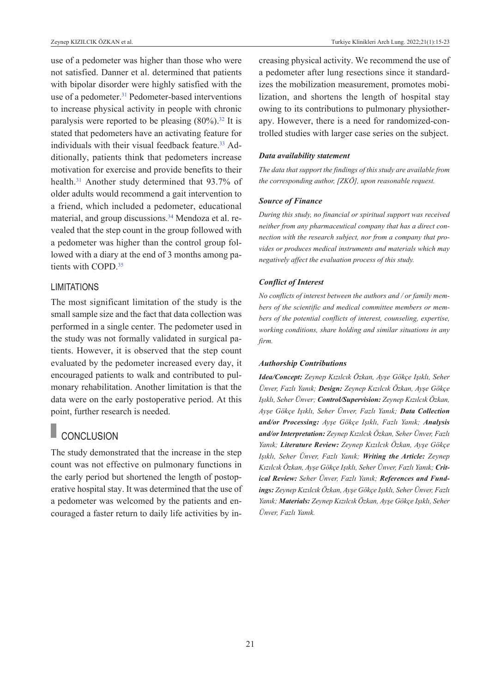use of a pedometer was higher than those who were not satisfied. Danner et al. determined that patients with bipolar disorder were highly satisfied with the use of a pedometer.<sup>31</sup> Pedometer-based interventions to increase physical activity in people with chronic paralysis were reported to be pleasing  $(80\%)$ .<sup>32</sup> It is stated that pedometers have an activating feature for individuals with their visual feedback feature.<sup>33</sup> Additionally, patients think that pedometers increase motivation for exercise and provide benefits to their health[.31](#page-7-0) Another study determined that 93.7% of older adults would recommend a gait intervention to a friend, which included a pedometer, educational material, and group discussions.<sup>34</sup> Mendoza et al. revealed that the step count in the group followed with a pedometer was higher than the control group followed with a diary at the end of 3 months among patients with COPD[.35](#page-7-0) 

### LIMITATIONS

The most significant limitation of the study is the small sample size and the fact that data collection was performed in a single center. The pedometer used in the study was not formally validated in surgical patients. However, it is observed that the step count evaluated by the pedometer increased every day, it encouraged patients to walk and contributed to pulmonary rehabilitation. Another limitation is that the data were on the early postoperative period. At this point, further research is needed.

# **CONCLUSION**

The study demonstrated that the increase in the step count was not effective on pulmonary functions in the early period but shortened the length of postoperative hospital stay. It was determined that the use of a pedometer was welcomed by the patients and encouraged a faster return to daily life activities by increasing physical activity. We recommend the use of a pedometer after lung resections since it standardizes the mobilization measurement, promotes mobilization, and shortens the length of hospital stay owing to its contributions to pulmonary physiotherapy. However, there is a need for randomized-controlled studies with larger case series on the subject.

#### *Data availability statement*

*The data that support the findings of this study are available from the corresponding author, [ZKÖ], upon reasonable request.* 

#### *Source of Finance*

*During this study, no financial or spiritual support was received neither from any pharmaceutical company that has a direct connection with the research subject, nor from a company that provides or produces medical instruments and materials which may negatively affect the evaluation process of this study.* 

#### *Conflict of Interest*

*No conflicts of interest between the authors and / or family members of the scientific and medical committee members or members of the potential conflicts of interest, counseling, expertise, working conditions, share holding and similar situations in any firm.* 

#### *Authorship Contributions*

*Idea/Concept: Zeynep Kızılcık Özkan, Ayşe Gökçe Işıklı, Seher Ünver, Fazlı Yanık; Design: Zeynep Kızılcık Özkan, Ayşe Gökçe Işıklı, Seher Ünver; Control/Supervision: Zeynep Kızılcık Özkan, Ayşe Gökçe Işıklı, Seher Ünver, Fazlı Yanık; Data Collection and/or Processing: Ayşe Gökçe Işıklı, Fazlı Yanık; Analysis and/or Interpretation: Zeynep Kızılcık Özkan, Seher Ünver, Fazlı Yanık; Literature Review: Zeynep Kızılcık Özkan, Ayşe Gökçe Işıklı, Seher Ünver, Fazlı Yanık; Writing the Article: Zeynep Kızılcık Özkan, Ayşe Gökçe Işıklı, Seher Ünver, Fazlı Yanık; Critical Review: Seher Ünver, Fazlı Yanık; References and Fundings: Zeynep Kızılcık Özkan, Ayşe Gökçe Işıklı, Seher Ünver, Fazlı Yanık; Materials: Zeynep Kızılcık Özkan, Ayşe Gökçe Işıklı, Seher Ünver, Fazlı Yanık.*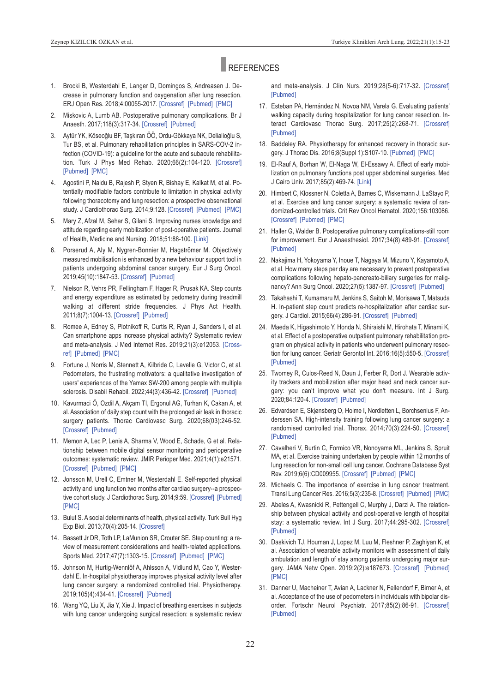# **REFERENCES**

- 1. Brocki B, Westerdahl E, Langer D, Domingos S, Andreasen J. Decrease in pulmonary function and oxygenation after lung resection. ERJ Open Res. 2018;4:00055-2017. [\[Crossref\]](https://openres.ersjournals.com/content/4/1/00055-2017) [Pubmed] [PMC]
- 2. Miskovic A, Lumb AB. postoperative pulmonary complications. Br J Anaesth. 2017;118(3):317-34. [\[Crossref\]](https://www.sciencedirect.com/science/article/pii/S0007091217302015?via%3Dihub) [Pubmed]
- 3. Aytür YK, Köseoğlu Bf, Taşkıran ÖÖ, Ordu-Gökkaya NK, Delialioğlu S, Tur BS, et al. Pulmonary rehabilitation principles in SARS-COV-2 infection (COvID-19): a guideline for the acute and subacute rehabilitation. Turk J phys Med Rehab. 2020;66(2):104-120. [\[Crossref\]](http://www.ftrdergisi.com/uploads/pdf/pdf_4189.pdf) [Pubmed] [PMC]
- 4. Agostini P, Naidu B, Rajesh P, Styen R, Bishay E, Kalkat M, et al. Potentially modifiable factors contribute to limitation in physical activity following thoracotomy and lung resection: a prospective observational study. J Cardiothorac Surg. 2014;9:128. [\[Crossref\]](https://cardiothoracicsurgery.biomedcentral.com/articles/10.1186/1749-8090-9-128) [Pubmed] [PMC]
- 5. Mary Z, Afzal M, Sehar S, Gilani S. Improving nurses knowledge and attitude regarding early mobilization of post-operative patients. Journal of Health, Medicine and Nursing. 2018;51:88-100. [\[Link\]](https://www.researchgate.net/publication/329058327_Improving_Nurses_Knowledge_and_Attitude_regarding_Early_Mobilization_of_Post-Operative_Patients)
- 6. porserud A, Aly M, Nygren-Bonnier M, Hagströmer M. Objectively measured mobilisation is enhanced by a new behaviour support tool in patients undergoing abdominal cancer surgery. Eur J Surg Oncol. 2019;45(10):1847-53. [\[Crossref\]](https://www.sciencedirect.com/science/article/abs/pii/S0748798319304056?via%3Dihub) [\[pubmed\]](https://pubmed.ncbi.nlm.nih.gov/31030805/)
- 7. Nielson R, Vehrs PR, Fellingham F, Hager R, Prusak KA. Step counts and energy expenditure as estimated by pedometry during treadmill walking at different stride frequencies. J Phys Act Health. 2011;8(7):1004-13. [\[Crossref\]](https://journals.humankinetics.com/view/journals/jpah/8/7/article-p1004.xml) [\[pubmed\]](https://pubmed.ncbi.nlm.nih.gov/21885892/)
- 8. Romee A, Edney S, plotnikoff R, Curtis R, Ryan J, Sanders I, et al. Can smartphone apps increase physical activity? Systematic review and meta-analysis. J Med Internet Res. 2019;21(3):e12053. [\[Cross](https://www.jmir.org/2019/3/e12053/)[ref\]](https://www.jmir.org/2019/3/e12053/) [Pubmed] [PMC]
- 9. fortune J, Norris M, Stennett A, Kilbride C, Lavelle G, victor C, et al. Pedometers, the frustrating motivators: a qualitative investigation of users' experiences of the Yamax SW-200 among people with multiple sclerosis. Disabil Rehabil. 2022;44(3):436-42. [\[Crossref\]](https://www.tandfonline.com/doi/full/10.1080/09638288.2020.1770344) [Pubmed]
- 10. Kavurmaci Ö, Ozdil A, Akçam TI, Ergonul AG, Turhan K, Cakan A, et al. Association of daily step count with the prolonged air leak in thoracic surgery patients. Thorac Cardiovasc Surg. 2020;68(03):246-52. [\[Crossref\]](https://www.thieme-connect.de/products/ejournals/abstract/10.1055/s-0038-1673661) [Pubmed]
- 11. Memon A, Lec P, Lenis A, Sharma V, Wood E, Schade, G et al. Relationship between mobile digital sensor monitoring and perioperative outcomes: systematic review. JMIR perioper Med. 2021;4(1):e21571. [\[Crossref\]](https://periop.jmir.org/2021/1/e21571/) [Pubmed] [PMC]
- 12. Jonsson M, Urell C, Emtner M, Westerdahl E. Self-reported physical activity and lung function two months after cardiac surgery--a prospec-tive cohort study. J Cardiothorac Surg. 2014;9:59. [\[Crossref\]](https://cardiothoracicsurgery.biomedcentral.com/articles/10.1186/1749-8090-9-59) [Pubmed] [\[pMC\]](https://www.ncbi.nlm.nih.gov/pmc/articles/PMC3986620/)
- 13. Bulut S. A social determinants of health, physical activity. Turk Bull Hyg Exp Biol. 2013;70(4):205-14. [\[Crossref\]](https://jag.journalagent.com/turkhijyen/pdfs/THDBD_70_4_205_214.pdf)
- 14. Bassett Jr DR, Toth LP, LaMunion SR, Crouter SE. Step counting: a review of measurement considerations and health-related applications. Sports Med. 2017;47(7):1303-15. [\[Crossref\]](https://link.springer.com/article/10.1007/s40279-016-0663-1) [\[pubmed\]](https://pubmed.ncbi.nlm.nih.gov/28005190/) [\[pMC\]](https://www.ncbi.nlm.nih.gov/pmc/articles/PMC5488109/)
- 15. Johnson M, Hurtig-Wennlöf A, Ahlsson A, vidlund M, Cao Y, Westerdahl E. In-hospital physiotherapy improves physical activity level after lung cancer surgery: a randomized controlled trial. Physiotherapy. 2019;105(4):434-41. [\[Crossref\]](https://www.sciencedirect.com/science/article/pii/S0031940618303420?via%3Dihub) [\[pubmed\]](https://pubmed.ncbi.nlm.nih.gov/30871894/)
- 16. Wang YQ, Liu x, Jia Y, xie J. Impact of breathing exercises in subjects with lung cancer undergoing surgical resection: a systematic review

<span id="page-7-0"></span>and meta-analysis. J Clin Nurs. 2019;28(5-6):717-32. [\[Crossref\]](https://onlinelibrary.wiley.com/doi/10.1111/jocn.14696) [Pubmed]

- 17. Esteban pA, Hernández N, Novoa NM, varela G. Evaluating patients' walking capacity during hospitalization for lung cancer resection. Interact Cardiovasc Thorac Surg. 2017;25(2):268-71. [\[Crossref\]](https://academic.oup.com/icvts/article/25/2/268/3798550) [Pubmed]
- 18. Baddeley RA. Physiotherapy for enhanced recovery in thoracic surgery. J Thorac Dis. 2016;8(Suppl 1):S107-10. [Pubmed] [PMC]
- 19. El-Rauf A, Borhan W, El-Naga W, El-Essawy A. Effect of early mobilization on pulmonary functions post upper abdominal surgeries. Med J Cairo Univ. 2017;85(2):469-74. [\[Link\]](https://www.semanticscholar.org/paper/Effect-of-Early-Mobilization-on-Pulmonary-Functions-EL-RAUF-Borhan/23bcc62bf0de7c387ad5409a2e59e33349758d6d)
- 20. Himbert C, Klossner N, Coletta A, Barnes C, Wiskemann J, LaStayo p, et al. Exercise and lung cancer surgery: a systematic review of randomized-controlled trials. Crit Rev Oncol Hematol. 2020;156:103086. [\[Crossref\]](https://www.sciencedirect.com/science/article/abs/pii/S1040842820302225?via%3Dihub) [Pubmed] [PMC]
- 21. Haller G, Walder B. Postoperative pulmonary complications-still room for improvement. Eur J Anaesthesiol. 2017;34(8):489-91. [\[Crossref\]](https://journals.lww.com/ejanaesthesiology/Fulltext/2017/08000/Postoperative_pulmonary_complications___Still_room.2.aspx) [\[pubmed\]](https://pubmed.ncbi.nlm.nih.gov/28682814/)
- 22. Nakajima H, Yokoyama Y, Inoue T, Nagaya M, Mizuno Y, Kayamoto A, et al. How many steps per day are necessary to prevent postoperative complications following hepato-pancreato-biliary surgeries for malig-nancy? Ann Surg Oncol. 2020;27(5):1387-97. [\[Crossref\]](https://link.springer.com/article/10.1245/s10434-020-08218-x) [Pubmed]
- 23. Takahashi T, Kumamaru M, Jenkins S, Saitoh M, Morisawa T, Matsuda H. In-patient step count predicts re-hospitalization after cardiac sur-gery. J Cardiol. 2015;66(4):286-91. [\[Crossref\]](https://www.sciencedirect.com/science/article/pii/S0914508715000192?via%3Dihub) [Pubmed]
- 24. Maeda K, Higashimoto Y, Honda N, Shiraishi M, Hirohata T, Minami K, et al. Effect of a postoperative outpatient pulmonary rehabilitation program on physical activity in patients who underwent pulmonary resection for lung cancer. Geriatr Gerontol Int. 2016;16(5):550-5. [\[Crossref\]](https://onlinelibrary.wiley.com/doi/10.1111/ggi.12505) [Pubmed]
- 25. Twomey R, Culos-Reed N, Daun J, ferber R, Dort J. Wearable activity trackers and mobilization after major head and neck cancer surgery: you can't improve what you don't measure. Int J Surg. 2020;84:120-4. [\[Crossref\]](https://www.sciencedirect.com/science/article/abs/pii/S174391912030769X?via%3Dihub) [\[pubmed\]](https://pubmed.ncbi.nlm.nih.gov/33157275/)
- 26. Edvardsen E, Skjønsberg O, Holme I, Nordletten L, Borchsenius f, Anderssen SA. High-intensity training following lung cancer surgery: a randomised controlled trial. Thorax. 2014;70(3):224-50. [\[Crossref\]](https://thorax.bmj.com/content/70/3/244) [Pubmed]
- 27. Cavalheri V, Burtin C, Formico VR, Nonoyama ML, Jenkins S, Spruit MA, et al. Exercise training undertaken by people within 12 months of lung resection for non-small cell lung cancer. Cochrane Database Syst Rev. 2019;6(6):CD009955. [\[Crossref\]](https://www.cochranelibrary.com/cdsr/doi/10.1002/14651858.CD009955.pub3/full) [Pubmed] [PMC]
- 28. Michaels C. The importance of exercise in lung cancer treatment. Transl Lung Cancer Res. 2016;5(3):235-8. [\[Crossref\]](https://tlcr.amegroups.com/article/view/6988/7297) [Pubmed] [PMC]
- 29. Abeles A, Kwasnicki R, pettengell C, Murphy J, Darzi A. The relationship between physical activity and post-operative length of hospital stay: a systematic review. Int J Surg. 2017;44:295-302. [\[Crossref\]](https://www.sciencedirect.com/science/article/pii/S1743919117305721?via%3Dihub) [\[pubmed\]](https://pubmed.ncbi.nlm.nih.gov/28689861/)
- 30. Daskivich TJ, Houman J, Lopez M, Luu M, fleshner p, Zaghiyan K, et al. Association of wearable activity monitors with assessment of daily ambulation and length of stay among patients undergoing major sur-gery. JAMA Netw Open. 2019;2(2):e187673. [\[Crossref\]](https://jamanetwork.com/journals/jamanetworkopen/fullarticle/2723408) [Pubmed] [\[pMC\]](https://www.ncbi.nlm.nih.gov/pmc/articles/PMC6484591/)
- 31. Danner U, Macheiner T, Avian A, Lackner N, Fellendorf F, Birner A, et al. Acceptance of the use of pedometers in individuals with bipolar dis-order. Fortschr Neurol Psychiatr. 2017;85(2):86-91. [\[Crossref\]](https://www.thieme-connect.de/products/ejournals/abstract/10.1055/s-0042-124506) [\[pubmed\]](https://pubmed.ncbi.nlm.nih.gov/28235210/)